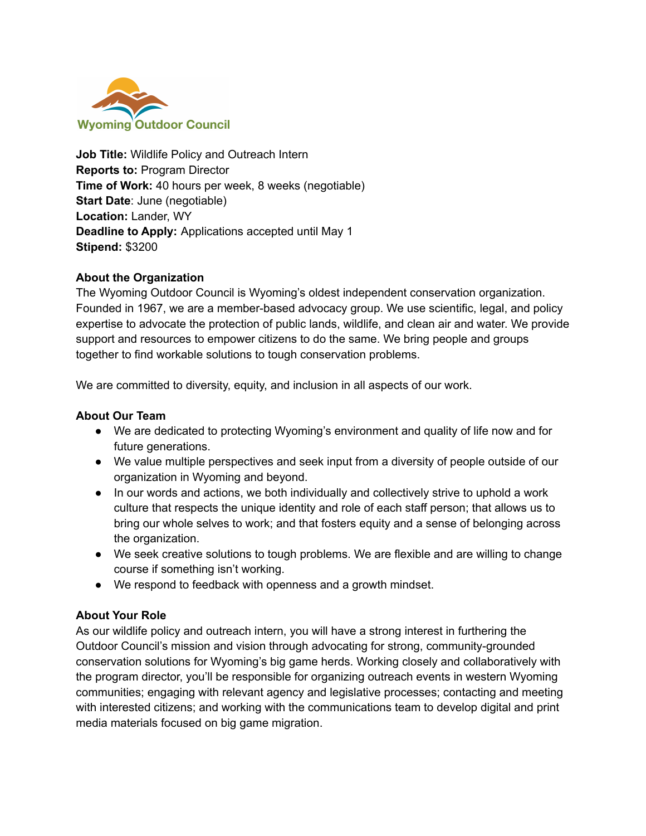

**Job Title:** Wildlife Policy and Outreach Intern **Reports to:** Program Director **Time of Work:** 40 hours per week, 8 weeks (negotiable) **Start Date**: June (negotiable) **Location:** Lander, WY **Deadline to Apply:** Applications accepted until May 1 **Stipend:** \$3200

#### **About the Organization**

The Wyoming Outdoor Council is Wyoming's oldest independent conservation organization. Founded in 1967, we are a member-based advocacy group. We use scientific, legal, and policy expertise to advocate the protection of public lands, wildlife, and clean air and water. We provide support and resources to empower citizens to do the same. We bring people and groups together to find workable solutions to tough conservation problems.

We are committed to diversity, equity, and inclusion in all aspects of our work.

#### **About Our Team**

- We are dedicated to protecting Wyoming's environment and quality of life now and for future generations.
- We value multiple perspectives and seek input from a diversity of people outside of our organization in Wyoming and beyond.
- In our words and actions, we both individually and collectively strive to uphold a work culture that respects the unique identity and role of each staff person; that allows us to bring our whole selves to work; and that fosters equity and a sense of belonging across the organization.
- We seek creative solutions to tough problems. We are flexible and are willing to change course if something isn't working.
- We respond to feedback with openness and a growth mindset.

#### **About Your Role**

As our wildlife policy and outreach intern, you will have a strong interest in furthering the Outdoor Council's mission and vision through advocating for strong, community-grounded conservation solutions for Wyoming's big game herds. Working closely and collaboratively with the program director, you'll be responsible for organizing outreach events in western Wyoming communities; engaging with relevant agency and legislative processes; contacting and meeting with interested citizens; and working with the communications team to develop digital and print media materials focused on big game migration.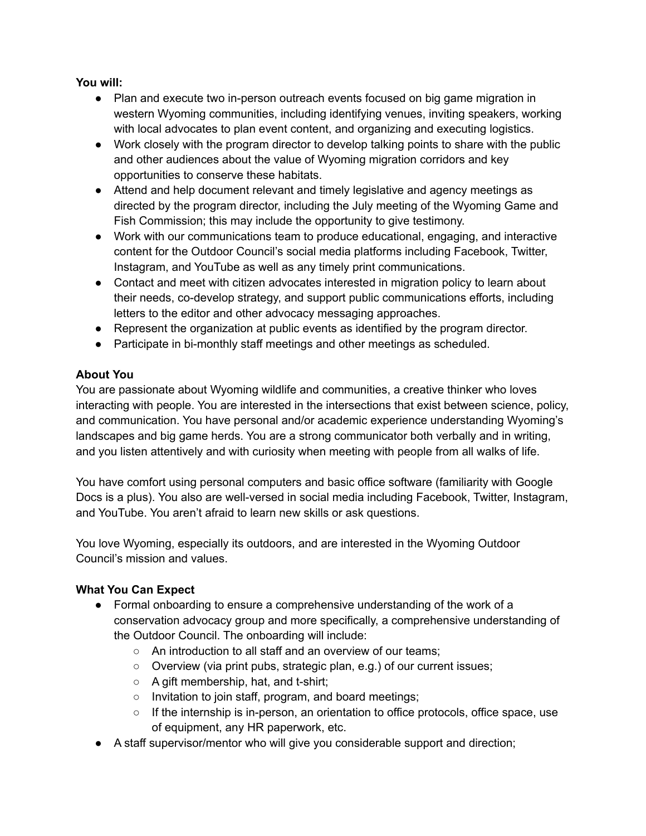## **You will:**

- Plan and execute two in-person outreach events focused on big game migration in western Wyoming communities, including identifying venues, inviting speakers, working with local advocates to plan event content, and organizing and executing logistics.
- Work closely with the program director to develop talking points to share with the public and other audiences about the value of Wyoming migration corridors and key opportunities to conserve these habitats.
- Attend and help document relevant and timely legislative and agency meetings as directed by the program director, including the July meeting of the Wyoming Game and Fish Commission; this may include the opportunity to give testimony.
- Work with our communications team to produce educational, engaging, and interactive content for the Outdoor Council's social media platforms including Facebook, Twitter, Instagram, and YouTube as well as any timely print communications.
- Contact and meet with citizen advocates interested in migration policy to learn about their needs, co-develop strategy, and support public communications efforts, including letters to the editor and other advocacy messaging approaches.
- Represent the organization at public events as identified by the program director.
- Participate in bi-monthly staff meetings and other meetings as scheduled.

# **About You**

You are passionate about Wyoming wildlife and communities, a creative thinker who loves interacting with people. You are interested in the intersections that exist between science, policy, and communication. You have personal and/or academic experience understanding Wyoming's landscapes and big game herds. You are a strong communicator both verbally and in writing, and you listen attentively and with curiosity when meeting with people from all walks of life.

You have comfort using personal computers and basic office software (familiarity with Google Docs is a plus). You also are well-versed in social media including Facebook, Twitter, Instagram, and YouTube. You aren't afraid to learn new skills or ask questions.

You love Wyoming, especially its outdoors, and are interested in the Wyoming Outdoor Council's mission and values.

## **What You Can Expect**

- Formal onboarding to ensure a comprehensive understanding of the work of a conservation advocacy group and more specifically, a comprehensive understanding of the Outdoor Council. The onboarding will include:
	- An introduction to all staff and an overview of our teams;
	- Overview (via print pubs, strategic plan, e.g.) of our current issues;
	- A gift membership, hat, and t-shirt;
	- Invitation to join staff, program, and board meetings;
	- If the internship is in-person, an orientation to office protocols, office space, use of equipment, any HR paperwork, etc.
- A staff supervisor/mentor who will give you considerable support and direction;